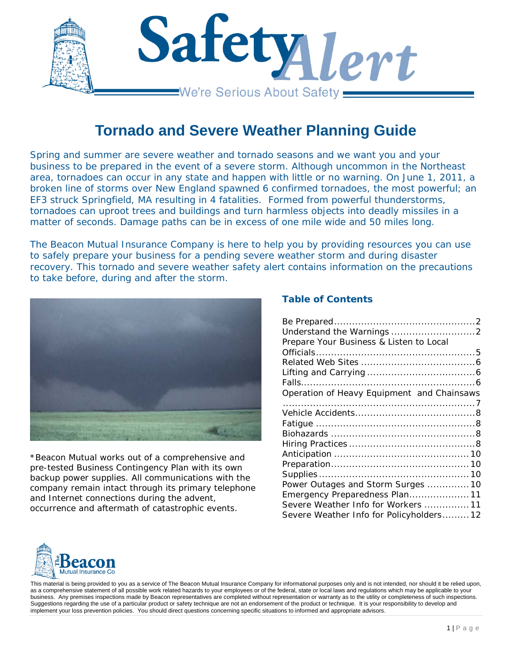

# **Tornado and Severe Weather Planning Guide**

*Spring and summer are severe weather and tornado seasons and we want you and your business to be prepared in the event of a severe storm. Although uncommon in the Northeast area, tornadoes can occur in any state and happen with little or no warning. On June 1, 2011, a broken line of storms over New England spawned 6 confirmed tornadoes, the most powerful; an EF3 struck Springfield, MA resulting in 4 fatalities. Formed from powerful thunderstorms, tornadoes can uproot trees and buildings and turn harmless objects into deadly missiles in a matter of seconds. Damage paths can be in excess of one mile wide and 50 miles long.* 

*The Beacon Mutual Insurance Company is here to help you by providing resources you can use to safely prepare your business for a pending severe weather storm and during disaster recovery. This tornado and severe weather safety alert contains information on the precautions to take before, during and after the storm.*



*\*Beacon Mutual works out of a comprehensive and pre-tested Business Contingency Plan with its own backup power supplies. All communications with the company remain intact through its primary telephone and Internet connections during the advent, occurrence and aftermath of catastrophic events.* 

## **Table of Contents**

| Prepare Your Business & Listen to Local    |  |
|--------------------------------------------|--|
|                                            |  |
|                                            |  |
|                                            |  |
|                                            |  |
| Operation of Heavy Equipment and Chainsaws |  |
|                                            |  |
|                                            |  |
|                                            |  |
|                                            |  |
|                                            |  |
|                                            |  |
|                                            |  |
|                                            |  |
| Power Outages and Storm Surges  10         |  |
| Emergency Preparedness Plan 11             |  |
| Severe Weather Info for Workers 11         |  |
| Severe Weather Info for Policyholders 12   |  |

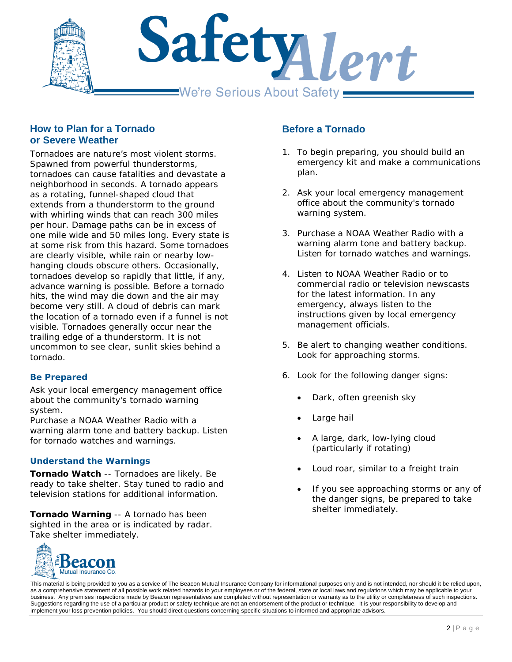

## **How to Plan for a Tornado or Severe Weather**

Tornadoes are nature's most violent storms. Spawned from powerful thunderstorms, tornadoes can cause fatalities and devastate a neighborhood in seconds. A tornado appears as a rotating, funnel-shaped cloud that extends from a thunderstorm to the ground with whirling winds that can reach 300 miles per hour. Damage paths can be in excess of one mile wide and 50 miles long. Every state is at some risk from this hazard. Some tornadoes are clearly visible, while rain or nearby lowhanging clouds obscure others. Occasionally, tornadoes develop so rapidly that little, if any, advance warning is possible. Before a tornado hits, the wind may die down and the air may become very still. A cloud of debris can mark the location of a tornado even if a funnel is not visible. Tornadoes generally occur near the trailing edge of a thunderstorm. It is not uncommon to see clear, sunlit skies behind a tornado.

#### <span id="page-1-0"></span>**Be Prepared**

Ask your local emergency management office about the community's tornado warning system.

Purchase a NOAA Weather Radio with a warning alarm tone and battery backup. Listen for tornado watches and warnings.

#### <span id="page-1-1"></span>**Understand the Warnings**

**Tornado Watch** -- Tornadoes are likely. Be ready to take shelter. Stay tuned to radio and television stations for additional information.

**Tornado Warning** -- A tornado has been sighted in the area or is indicated by radar. Take shelter immediately.



# **Before a Tornado**

- 1. To begin preparing, you should build an emergency kit and make a communications plan.
- 2. Ask your local emergency management office about the community's tornado warning system.
- 3. Purchase a NOAA Weather Radio with a warning alarm tone and battery backup. Listen for tornado watches and warnings.
- 4. Listen to NOAA Weather Radio or to commercial radio or television newscasts for the latest information. In any emergency, always listen to the instructions given by local emergency management officials.
- 5. Be alert to changing weather conditions. Look for approaching storms.
- 6. Look for the following danger signs:
	- Dark, often greenish sky
	- Large hail
	- A large, dark, low-lying cloud (particularly if rotating)
	- Loud roar, similar to a freight train
	- If you see approaching storms or any of the danger signs, be prepared to take shelter immediately.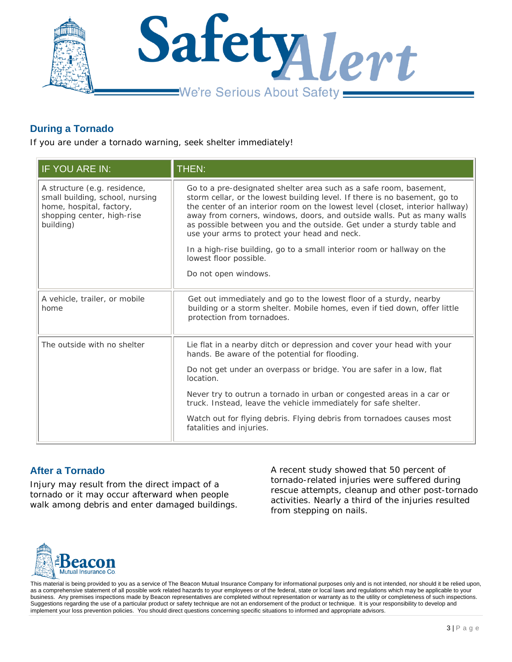

# **During a Tornado**

If you are under a tornado warning, seek shelter immediately!

| IF YOU ARE IN:                                                                                                                         | THEN:                                                                                                                                                                                                                                                                                                                                                                                                                                 |
|----------------------------------------------------------------------------------------------------------------------------------------|---------------------------------------------------------------------------------------------------------------------------------------------------------------------------------------------------------------------------------------------------------------------------------------------------------------------------------------------------------------------------------------------------------------------------------------|
| A structure (e.g. residence,<br>small building, school, nursing<br>home, hospital, factory,<br>shopping center, high-rise<br>building) | Go to a pre-designated shelter area such as a safe room, basement,<br>storm cellar, or the lowest building level. If there is no basement, go to<br>the center of an interior room on the lowest level (closet, interior hallway)<br>away from corners, windows, doors, and outside walls. Put as many walls<br>as possible between you and the outside. Get under a sturdy table and<br>use your arms to protect your head and neck. |
|                                                                                                                                        | In a high-rise building, go to a small interior room or hallway on the<br>lowest floor possible.                                                                                                                                                                                                                                                                                                                                      |
|                                                                                                                                        | Do not open windows.                                                                                                                                                                                                                                                                                                                                                                                                                  |
| A vehicle, trailer, or mobile<br>home                                                                                                  | Get out immediately and go to the lowest floor of a sturdy, nearby<br>building or a storm shelter. Mobile homes, even if tied down, offer little<br>protection from tornadoes.                                                                                                                                                                                                                                                        |
| The outside with no shelter                                                                                                            | Lie flat in a nearby ditch or depression and cover your head with your<br>hands. Be aware of the potential for flooding.                                                                                                                                                                                                                                                                                                              |
|                                                                                                                                        | Do not get under an overpass or bridge. You are safer in a low, flat<br>location.                                                                                                                                                                                                                                                                                                                                                     |
|                                                                                                                                        | Never try to outrun a tornado in urban or congested areas in a car or<br>truck. Instead, leave the vehicle immediately for safe shelter.                                                                                                                                                                                                                                                                                              |
|                                                                                                                                        | Watch out for flying debris. Flying debris from tornadoes causes most<br>fatalities and injuries.                                                                                                                                                                                                                                                                                                                                     |

# **After a Tornado**

Injury may result from the direct impact of a tornado or it may occur afterward when people walk among debris and enter damaged buildings. A recent study showed that 50 percent of tornado-related injuries were suffered during rescue attempts, cleanup and other post-tornado activities. Nearly a third of the injuries resulted from stepping on nails.

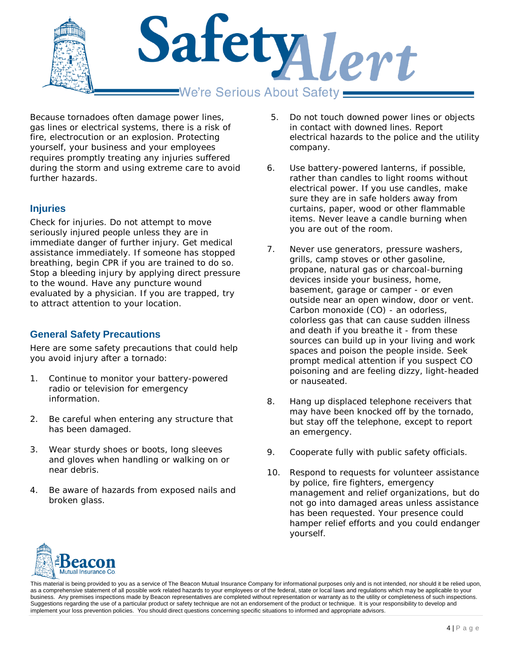

Because tornadoes often damage power lines, gas lines or electrical systems, there is a risk of fire, electrocution or an explosion. Protecting yourself, your business and your employees requires promptly treating any injuries suffered during the storm and using extreme care to avoid further hazards.

# **Injuries**

Check for injuries. Do not attempt to move seriously injured people unless they are in immediate danger of further injury. Get medical assistance immediately. If someone has stopped breathing, begin CPR if you are trained to do so. Stop a bleeding injury by applying direct pressure to the wound. Have any puncture wound evaluated by a physician. If you are trapped, try to attract attention to your location.

# **General Safety Precautions**

Here are some safety precautions that could help you avoid injury after a tornado:

- 1. Continue to monitor your battery-powered radio or television for emergency information.
- 2. Be careful when entering any structure that has been damaged.
- 3. Wear sturdy shoes or boots, long sleeves and gloves when handling or walking on or near debris.
- 4. Be aware of hazards from exposed nails and broken glass.
- 5. Do not touch downed power lines or objects in contact with downed lines. Report electrical hazards to the police and the utility company.
- 6. Use battery-powered lanterns, if possible, rather than candles to light rooms without electrical power. If you use candles, make sure they are in safe holders away from curtains, paper, wood or other flammable items. Never leave a candle burning when you are out of the room.
- 7. Never use generators, pressure washers, grills, camp stoves or other gasoline, propane, natural gas or charcoal-burning devices inside your business, home, basement, garage or camper - or even outside near an open window, door or vent. Carbon monoxide (CO) - an odorless, colorless gas that can cause sudden illness and death if you breathe it - from these sources can build up in your living and work spaces and poison the people inside. Seek prompt medical attention if you suspect CO poisoning and are feeling dizzy, light-headed or nauseated.
- 8. Hang up displaced telephone receivers that may have been knocked off by the tornado, but stay off the telephone, except to report an emergency.
- 9. Cooperate fully with public safety officials.
- 10. Respond to requests for volunteer assistance by police, fire fighters, emergency management and relief organizations, but do not go into damaged areas unless assistance has been requested. Your presence could hamper relief efforts and you could endanger yourself.

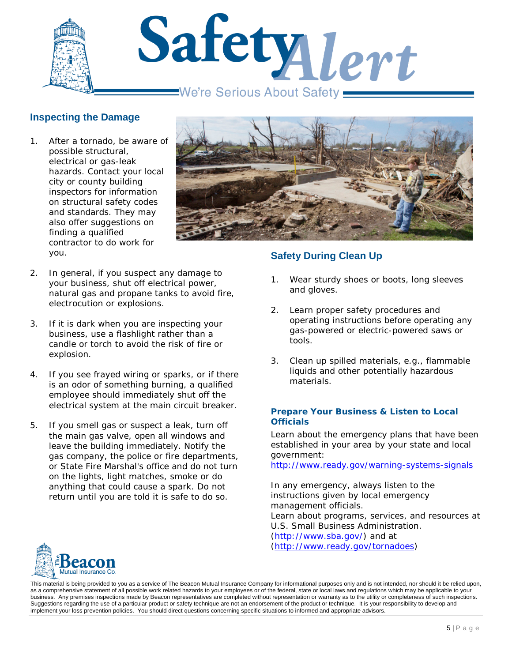

# **Inspecting the Damage**

1. After a tornado, be aware of possible structural, electrical or gas-leak hazards. Contact your local city or county building inspectors for information on structural safety codes and standards. They may also offer suggestions on finding a qualified contractor to do work for you.



- 2. In general, if you suspect any damage to your business, shut off electrical power, natural gas and propane tanks to avoid fire, electrocution or explosions.
- 3. If it is dark when you are inspecting your business, use a flashlight rather than a candle or torch to avoid the risk of fire or explosion.
- 4. If you see frayed wiring or sparks, or if there is an odor of something burning, a qualified employee should immediately shut off the electrical system at the main circuit breaker.
- 5. If you smell gas or suspect a leak, turn off the main gas valve, open all windows and leave the building immediately. Notify the gas company, the police or fire departments, or State Fire Marshal's office and do not turn on the lights, light matches, smoke or do anything that could cause a spark. Do not return until you are told it is safe to do so.

# **Safety During Clean Up**

- 1. Wear sturdy shoes or boots, long sleeves and gloves.
- 2. Learn proper safety procedures and operating instructions before operating any gas-powered or electric-powered saws or tools.
- 3. Clean up spilled materials, e.g., flammable liquids and other potentially hazardous materials.

#### <span id="page-4-0"></span>**Prepare Your Business & Listen to Local Officials**

Learn about the emergency plans that have been established in your area by your state and local government:

<http://www.ready.gov/warning-systems-signals>

In any emergency, always listen to the instructions given by local emergency management officials. Learn about programs, services, and resources at U.S. Small Business Administration. [\(http://www.sba.gov/\)](http://www.sba.gov/) and at [\(http://www.ready.gov/tornadoes\)](http://www.ready.gov/tornadoes)

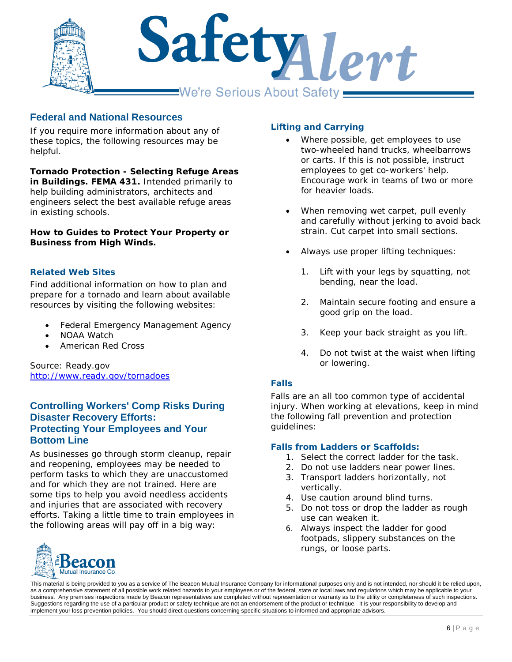

# **Federal and National Resources**

If you require more information about any of these topics, the following resources may be helpful.

*Tornado Protection - Selecting Refuge Areas in Buildings. FEMA 431.* Intended primarily to help building administrators, architects and engineers select the best available refuge areas in existing schools.

*How to Guides to Protect Your Property or Business from High Winds.* 

#### <span id="page-5-0"></span>**Related Web Sites**

Find additional information on how to plan and prepare for a tornado and learn about available resources by visiting the following websites:

- Federal Emergency Management Agency
- NOAA Watch
- American Red Cross

Source: Ready.gov <http://www.ready.gov/tornadoes>

# **Controlling Workers' Comp Risks During Disaster Recovery Efforts: Protecting Your Employees and Your Bottom Line**

As businesses go through storm cleanup, repair and reopening, employees may be needed to perform tasks to which they are unaccustomed and for which they are not trained. Here are some tips to help you avoid needless accidents and injuries that are associated with recovery efforts. Taking a little time to train employees in the following areas will pay off in a big way:

## <span id="page-5-1"></span>**Lifting and Carrying**

- Where possible, get employees to use two-wheeled hand trucks, wheelbarrows or carts. If this is not possible, instruct employees to get co-workers' help. Encourage work in teams of two or more for heavier loads.
- When removing wet carpet, pull evenly and carefully without jerking to avoid back strain. Cut carpet into small sections.
- Always use proper lifting techniques:
	- 1. Lift with your legs by squatting, not bending, near the load.
	- 2. Maintain secure footing and ensure a good grip on the load.
	- 3. Keep your back straight as you lift.
	- 4. Do not twist at the waist when lifting or lowering.

## <span id="page-5-2"></span>**Falls**

Falls are an all too common type of accidental injury. When working at elevations, keep in mind the following fall prevention and protection guidelines:

#### *Falls from Ladders or Scaffolds:*

- 1. Select the correct ladder for the task.
- 2. Do not use ladders near power lines.
- 3. Transport ladders horizontally, not vertically.
- 4. Use caution around blind turns.
- 5. Do not toss or drop the ladder as rough use can weaken it.
- 6. Always inspect the ladder for good footpads, slippery substances on the rungs, or loose parts.

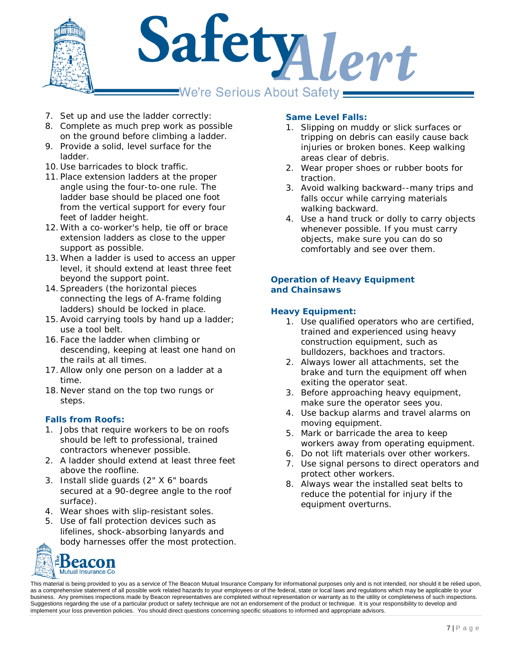

- 7. Set up and use the ladder correctly:
- 8. Complete as much prep work as possible on the ground before climbing a ladder.
- 9. Provide a solid, level surface for the ladder.
- 10. Use barricades to block traffic.
- 11. Place extension ladders at the proper angle using the four-to-one rule. The ladder base should be placed one foot from the vertical support for every four feet of ladder height.
- 12. With a co-worker's help, tie off or brace extension ladders as close to the upper support as possible.
- 13. When a ladder is used to access an upper level, it should extend at least three feet beyond the support point.
- 14.Spreaders (the horizontal pieces connecting the legs of A-frame folding ladders) should be locked in place.
- 15.Avoid carrying tools by hand up a ladder; use a tool belt.
- 16. Face the ladder when climbing or descending, keeping at least one hand on the rails at all times.
- 17.Allow only one person on a ladder at a time.
- 18. Never stand on the top two rungs or steps.

# *Falls from Roofs:*

- 1. Jobs that require workers to be on roofs should be left to professional, trained contractors whenever possible.
- 2. A ladder should extend at least three feet above the roofline.
- 3. Install slide guards (2" X 6" boards secured at a 90-degree angle to the roof surface).
- 4. Wear shoes with slip-resistant soles.
- 5. Use of fall protection devices such as lifelines, shock-absorbing lanyards and body harnesses offer the most protection.



## *Same Level Falls:*

- 1. Slipping on muddy or slick surfaces or tripping on debris can easily cause back injuries or broken bones. Keep walking areas clear of debris.
- 2. Wear proper shoes or rubber boots for traction.
- 3. Avoid walking backward--many trips and falls occur while carrying materials walking backward.
- 4. Use a hand truck or dolly to carry objects whenever possible. If you must carry objects, make sure you can do so comfortably and see over them.

## <span id="page-6-0"></span>**Operation of Heavy Equipment and Chainsaws**

## *Heavy Equipment:*

- 1. Use qualified operators who are certified, trained and experienced using heavy construction equipment, such as bulldozers, backhoes and tractors.
- 2. Always lower all attachments, set the brake and turn the equipment off when exiting the operator seat.
- 3. Before approaching heavy equipment, make sure the operator sees you.
- 4. Use backup alarms and travel alarms on moving equipment.
- 5. Mark or barricade the area to keep workers away from operating equipment.
- 6. Do not lift materials over other workers.
- 7. Use signal persons to direct operators and protect other workers.
- 8. Always wear the installed seat belts to reduce the potential for injury if the equipment overturns.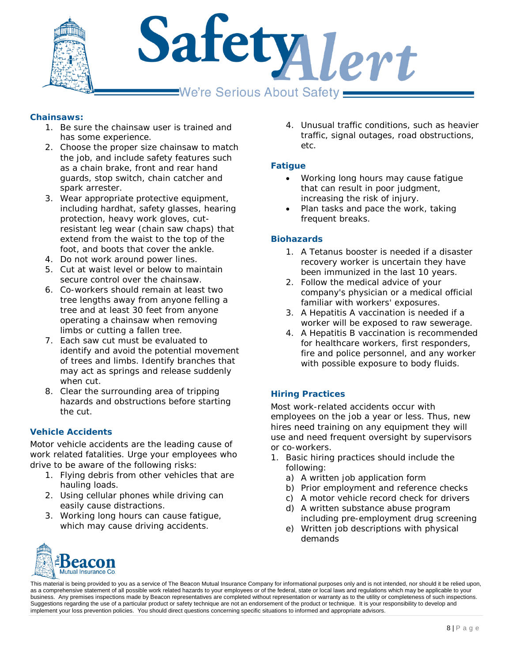

## *Chainsaws:*

- 1. Be sure the chainsaw user is trained and has some experience.
- 2. Choose the proper size chainsaw to match the job, and include safety features such as a chain brake, front and rear hand guards, stop switch, chain catcher and spark arrester.
- 3. Wear appropriate protective equipment, including hardhat, safety glasses, hearing protection, heavy work gloves, cutresistant leg wear (chain saw chaps) that extend from the waist to the top of the foot, and boots that cover the ankle.
- 4. Do not work around power lines.
- 5. Cut at waist level or below to maintain secure control over the chainsaw.
- 6. Co-workers should remain at least two tree lengths away from anyone felling a tree and at least 30 feet from anyone operating a chainsaw when removing limbs or cutting a fallen tree.
- 7. Each saw cut must be evaluated to identify and avoid the potential movement of trees and limbs. Identify branches that may act as springs and release suddenly when cut.
- 8. Clear the surrounding area of tripping hazards and obstructions before starting the cut.

## <span id="page-7-0"></span>**Vehicle Accidents**

Motor vehicle accidents are the leading cause of work related fatalities. Urge your employees who drive to be aware of the following risks:

- 1. Flying debris from other vehicles that are hauling loads.
- 2. Using cellular phones while driving can easily cause distractions.
- 3. Working long hours can cause fatigue, which may cause driving accidents.

4. Unusual traffic conditions, such as heavier traffic, signal outages, road obstructions, etc.

## <span id="page-7-1"></span>**Fatigue**

- Working long hours may cause fatigue that can result in poor judgment, increasing the risk of injury.
- Plan tasks and pace the work, taking frequent breaks.

## <span id="page-7-2"></span>**Biohazards**

- 1. A Tetanus booster is needed if a disaster recovery worker is uncertain they have been immunized in the last 10 years.
- 2. Follow the medical advice of your company's physician or a medical official familiar with workers' exposures.
- 3. A Hepatitis A vaccination is needed if a worker will be exposed to raw sewerage.
- 4. A Hepatitis B vaccination is recommended for healthcare workers, first responders, fire and police personnel, and any worker with possible exposure to body fluids.

## <span id="page-7-3"></span>**Hiring Practices**

Most work-related accidents occur with employees on the job a year or less. Thus, new hires need training on any equipment they will use and need frequent oversight by supervisors or co-workers.

- 1. Basic hiring practices should include the following:
	- a) A written job application form
	- b) Prior employment and reference checks
	- c) A motor vehicle record check for drivers
	- d) A written substance abuse program including pre-employment drug screening
	- e) Written job descriptions with physical demands

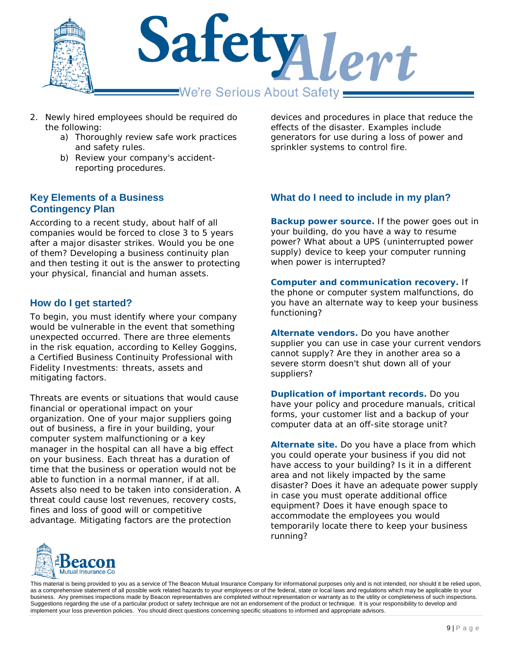

- 2. Newly hired employees should be required do the following:
	- a) Thoroughly review safe work practices and safety rules.
	- b) Review your company's accidentreporting procedures.

## **Key Elements of a Business Contingency Plan**

According to a recent study, about half of all companies would be forced to close 3 to 5 years after a major disaster strikes. Would you be one of them? Developing a business continuity plan and then testing it out is the answer to protecting your physical, financial and human assets.

# **How do I get started?**

To begin, you must identify where your company would be vulnerable in the event that something unexpected occurred. There are three elements in the risk equation, according to Kelley Goggins, a Certified Business Continuity Professional with Fidelity Investments: threats, assets and mitigating factors.

Threats are events or situations that would cause financial or operational impact on your organization. One of your major suppliers going out of business, a fire in your building, your computer system malfunctioning or a key manager in the hospital can all have a big effect on your business. Each threat has a duration of time that the business or operation would not be able to function in a normal manner, if at all. Assets also need to be taken into consideration. A threat could cause lost revenues, recovery costs, fines and loss of good will or competitive advantage. Mitigating factors are the protection

devices and procedures in place that reduce the effects of the disaster. Examples include generators for use during a loss of power and sprinkler systems to control fire.

# **What do I need to include in my plan?**

**Backup power source.** If the power goes out in your building, do you have a way to resume power? What about a UPS (uninterrupted power supply) device to keep your computer running when power is interrupted?

**Computer and communication recovery.** If the phone or computer system malfunctions, do you have an alternate way to keep your business functioning?

**Alternate vendors.** Do you have another supplier you can use in case your current vendors cannot supply? Are they in another area so a severe storm doesn't shut down all of your suppliers?

**Duplication of important records.** Do you have your policy and procedure manuals, critical forms, your customer list and a backup of your computer data at an off-site storage unit?

**Alternate site.** Do you have a place from which you could operate your business if you did not have access to your building? Is it in a different area and not likely impacted by the same disaster? Does it have an adequate power supply in case you must operate additional office equipment? Does it have enough space to accommodate the employees you would temporarily locate there to keep your business running?

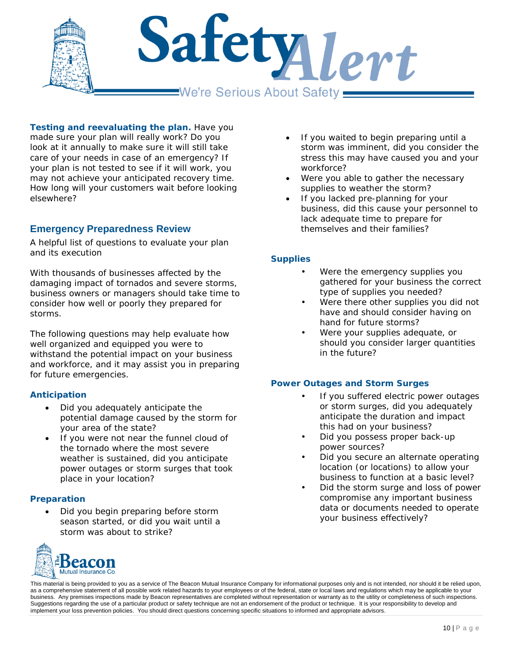

**Testing and reevaluating the plan.** Have you made sure your plan will really work? Do you look at it annually to make sure it will still take care of your needs in case of an emergency? If your plan is not tested to see if it will work, you may not achieve your anticipated recovery time. How long will your customers wait before looking elsewhere?

# **Emergency Preparedness Review**

*A helpful list of questions to evaluate your plan and its execution*

With thousands of businesses affected by the damaging impact of tornados and severe storms, business owners or managers should take time to consider how well or poorly they prepared for storms.

The following questions may help evaluate how well organized and equipped you were to withstand the potential impact on your business and workforce, and it may assist you in preparing for future emergencies.

## <span id="page-9-0"></span>**Anticipation**

- Did you adequately anticipate the potential damage caused by the storm for your area of the state?
- If you were not near the funnel cloud of the tornado where the most severe weather is sustained, did you anticipate power outages or storm surges that took place in your location?

## <span id="page-9-1"></span>**Preparation**

• Did you begin preparing before storm season started, or did you wait until a storm was about to strike?



- If you waited to begin preparing until a storm was imminent, did you consider the stress this may have caused you and your workforce?
- Were you able to gather the necessary supplies to weather the storm?
- If you lacked pre-planning for your business, did this cause your personnel to lack adequate time to prepare for themselves and their families?

## <span id="page-9-2"></span>**Supplies**

- Were the emergency supplies you gathered for your business the correct type of supplies you needed?
- Were there other supplies you did not have and should consider having on hand for future storms?
- Were your supplies adequate, or should you consider larger quantities in the future?

#### <span id="page-9-3"></span>**Power Outages and Storm Surges**

- If you suffered electric power outages or storm surges, did you adequately anticipate the duration and impact this had on your business?
- Did you possess proper back-up power sources?
- Did you secure an alternate operating location (or locations) to allow your business to function at a basic level?
- Did the storm surge and loss of power compromise any important business data or documents needed to operate your business effectively?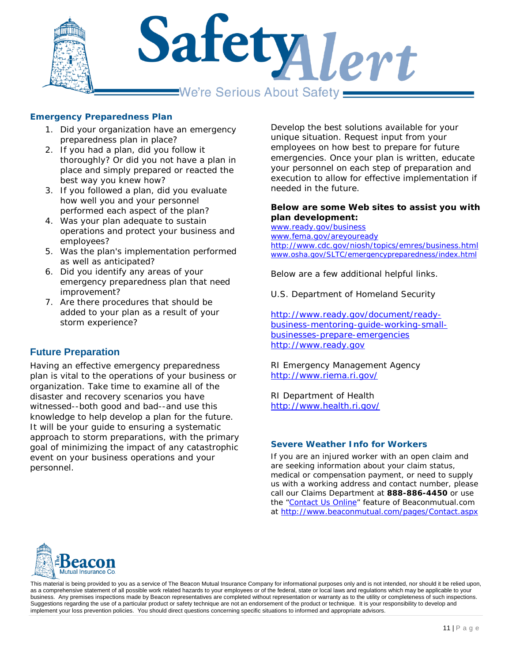

#### <span id="page-10-0"></span>**Emergency Preparedness Plan**

- 1. Did your organization have an emergency preparedness plan in place?
- 2. If you had a plan, did you follow it thoroughly? Or did you not have a plan in place and simply prepared or reacted the best way you knew how?
- 3. If you followed a plan, did you evaluate how well you and your personnel performed each aspect of the plan?
- 4. Was your plan adequate to sustain operations and protect your business and employees?
- 5. Was the plan's implementation performed as well as anticipated?
- 6. Did you identify any areas of your emergency preparedness plan that need improvement?
- 7. Are there procedures that should be added to your plan as a result of your storm experience?

# **Future Preparation**

Having an effective emergency preparedness plan is vital to the operations of your business or organization. Take time to examine all of the disaster and recovery scenarios you have witnessed--both good and bad--and use this knowledge to help develop a plan for the future. It will be your guide to ensuring a systematic approach to storm preparations, with the primary goal of minimizing the impact of any catastrophic event on your business operations and your personnel.

Develop the best solutions available for your unique situation. Request input from your employees on how best to prepare for future emergencies. Once your plan is written, educate your personnel on each step of preparation and execution to allow for effective implementation if needed in the future.

#### **Below are some Web sites to assist you with plan development:**

[www.ready.gov/business](http://www.ready.gov/business) [www.fema.gov/areyouready](http://www.fema.gov/areyouready) <http://www.cdc.gov/niosh/topics/emres/business.html> [www.osha.gov/SLTC/emergencypreparedness/index.html](http://www.osha.gov/SLTC/emergencypreparedness/index.html)

Below are a few additional helpful links.

U.S. Department of Homeland Security

[http://www.ready.gov/document/ready](http://www.ready.gov/document/ready-business-mentoring-guide-working-small-businesses-prepare-emergencies)[business-mentoring-guide-working-small](http://www.ready.gov/document/ready-business-mentoring-guide-working-small-businesses-prepare-emergencies)[businesses-prepare-emergencies](http://www.ready.gov/document/ready-business-mentoring-guide-working-small-businesses-prepare-emergencies) [http://www.ready.gov](http://www.ready.gov/)

RI Emergency Management Agency <http://www.riema.ri.gov/>

RI Department of Health <http://www.health.ri.gov/>

#### <span id="page-10-1"></span>**Severe Weather Info for Workers**

If you are an injured worker with an open claim and are seeking information about your claim status, medical or compensation payment, or need to supply us with a working address and contact number, please call our Claims Department at **888-886-4450** or use the ["Contact Us Online"](http://www.beaconmutual.com/pages/Contact.aspx) feature of Beaconmutual.com at<http://www.beaconmutual.com/pages/Contact.aspx>